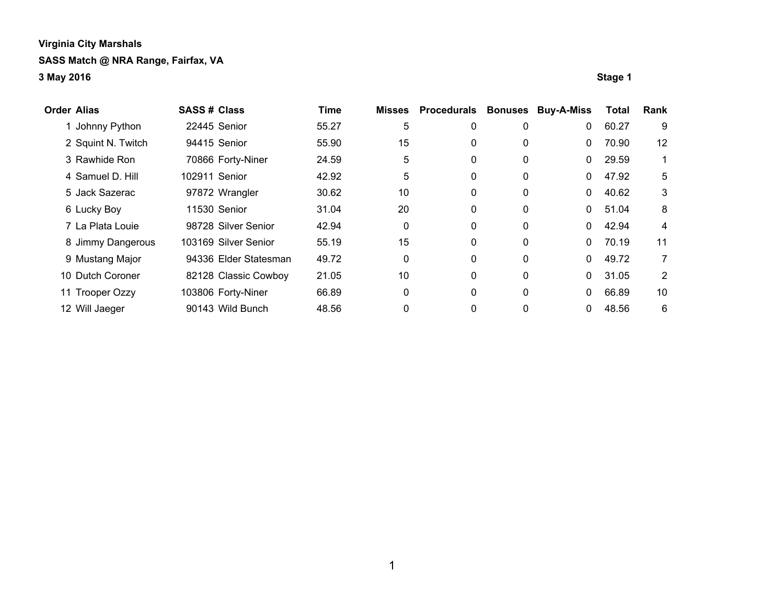| <b>Order Alias</b> | <b>SASS# Class</b> |                       | <b>Time</b> | <b>Misses</b> | Procedurals | <b>Bonuses</b> | <b>Buy-A-Miss</b> | Total | Rank           |
|--------------------|--------------------|-----------------------|-------------|---------------|-------------|----------------|-------------------|-------|----------------|
| Johnny Python      |                    | 22445 Senior          | 55.27       | 5             | 0           | 0              | 0                 | 60.27 | 9              |
| 2 Squint N. Twitch |                    | 94415 Senior          | 55.90       | 15            | 0           | 0              | 0                 | 70.90 | 12             |
| 3 Rawhide Ron      |                    | 70866 Forty-Niner     | 24.59       | 5             | 0           | 0              | 0                 | 29.59 |                |
| 4 Samuel D. Hill   | 102911 Senior      |                       | 42.92       | 5             | 0           | 0              | 0                 | 47.92 | 5              |
| 5 Jack Sazerac     |                    | 97872 Wrangler        | 30.62       | 10            | 0           | 0              | 0                 | 40.62 | 3              |
| 6 Lucky Boy        |                    | 11530 Senior          | 31.04       | 20            | 0           | 0              | $\Omega$          | 51.04 | 8              |
| 7 La Plata Louie   |                    | 98728 Silver Senior   | 42.94       | 0             | 0           | $\mathbf{0}$   | $\Omega$          | 42.94 | 4              |
| 8 Jimmy Dangerous  |                    | 103169 Silver Senior  | 55.19       | 15            | 0           | 0              | 0                 | 70.19 | 11             |
| 9 Mustang Major    |                    | 94336 Elder Statesman | 49.72       | 0             | 0           | $\mathbf{0}$   | 0                 | 49.72 | $\overline{7}$ |
| 10 Dutch Coroner   |                    | 82128 Classic Cowboy  | 21.05       | 10            | 0           | $\mathbf 0$    | 0                 | 31.05 | 2              |
| 11 Trooper Ozzy    |                    | 103806 Forty-Niner    | 66.89       | 0             | 0           | $\mathbf 0$    | 0                 | 66.89 | 10             |
| 12 Will Jaeger     |                    | 90143 Wild Bunch      | 48.56       | 0             | 0           | $\mathbf 0$    |                   | 48.56 | 6              |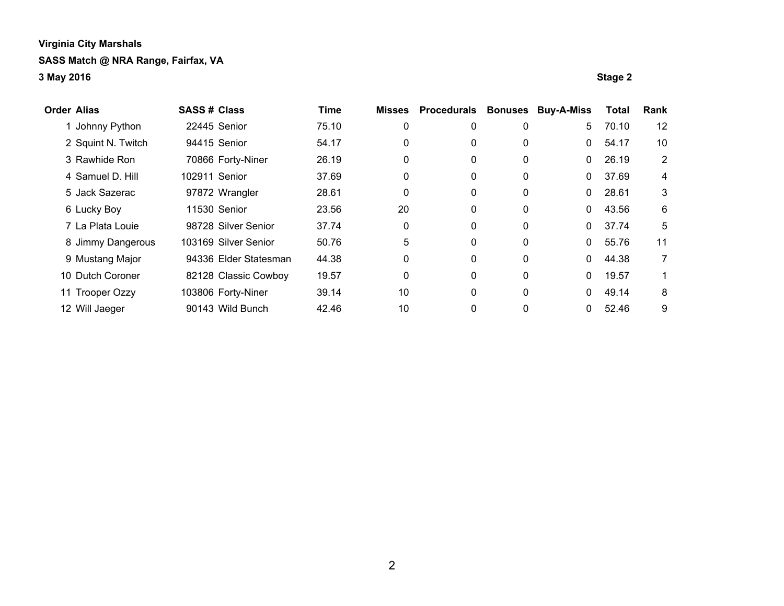| <b>Order Alias</b> |                    | <b>SASS# Class</b> |                       | <b>Time</b> | <b>Misses</b> | <b>Procedurals</b> | <b>Bonuses</b> | <b>Buy-A-Miss</b> | Total | Rank           |
|--------------------|--------------------|--------------------|-----------------------|-------------|---------------|--------------------|----------------|-------------------|-------|----------------|
|                    | Johnny Python      |                    | 22445 Senior          | 75.10       | 0             | 0                  | 0              | 5.                | 70.10 | 12             |
|                    | 2 Squint N. Twitch |                    | 94415 Senior          | 54.17       | 0             | 0                  | 0              | $\Omega$          | 54.17 | 10             |
|                    | 3 Rawhide Ron      |                    | 70866 Forty-Niner     | 26.19       | 0             | 0                  | 0              | $\mathbf{0}$      | 26.19 | $\overline{2}$ |
|                    | 4 Samuel D. Hill   | 102911 Senior      |                       | 37.69       | 0             | 0                  | 0              | $\mathbf{0}$      | 37.69 | 4              |
|                    | 5 Jack Sazerac     |                    | 97872 Wrangler        | 28.61       | 0             | 0                  | 0              | $\mathbf{0}$      | 28.61 | 3              |
|                    | 6 Lucky Boy        |                    | 11530 Senior          | 23.56       | 20            | 0                  | 0              | 0                 | 43.56 | 6              |
|                    | 7 La Plata Louie   |                    | 98728 Silver Senior   | 37.74       | 0             | 0                  | 0              | 0                 | 37.74 | 5              |
|                    | 8 Jimmy Dangerous  |                    | 103169 Silver Senior  | 50.76       | 5             | 0                  | 0              | $\Omega$          | 55.76 | 11             |
|                    | 9 Mustang Major    |                    | 94336 Elder Statesman | 44.38       | 0             | 0                  | 0              | 0                 | 44.38 | 7              |
|                    | 10 Dutch Coroner   |                    | 82128 Classic Cowboy  | 19.57       | 0             | 0                  | $\mathbf 0$    | 0                 | 19.57 |                |
|                    | 11 Trooper Ozzy    |                    | 103806 Forty-Niner    | 39.14       | 10            | 0                  | $\mathbf 0$    | 0                 | 49.14 | 8              |
|                    | 12 Will Jaeger     |                    | 90143 Wild Bunch      | 42.46       | 10            | 0                  | 0              | 0                 | 52.46 | 9              |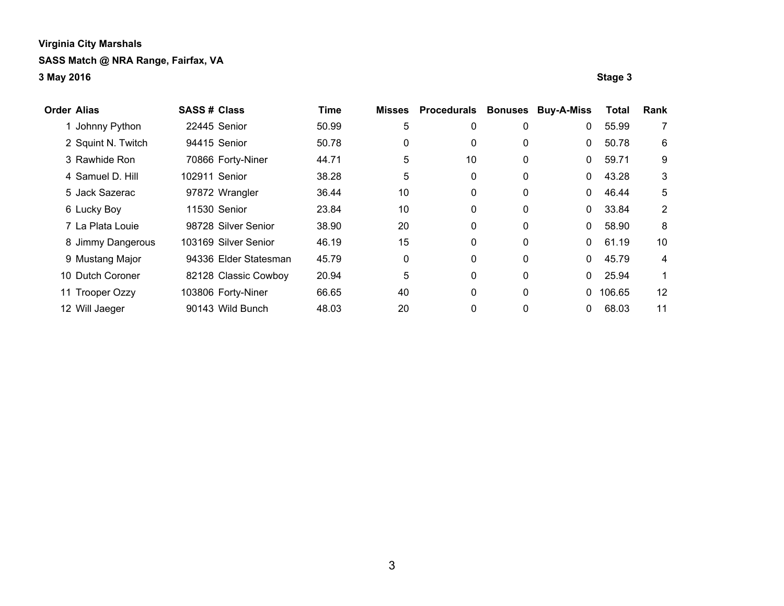| <b>Order Alias</b> | <b>SASS# Class</b> |                       | Time  | <b>Misses</b> | <b>Procedurals</b> | <b>Bonuses</b> | <b>Buy-A-Miss</b> | Total  | Rank           |
|--------------------|--------------------|-----------------------|-------|---------------|--------------------|----------------|-------------------|--------|----------------|
| Johnny Python      |                    | 22445 Senior          | 50.99 | 5             | 0                  | 0              | $\mathbf{0}$      | 55.99  | 7              |
| 2 Squint N. Twitch |                    | 94415 Senior          | 50.78 | 0             | 0                  | 0              | $\mathbf{0}$      | 50.78  | 6              |
| 3 Rawhide Ron      |                    | 70866 Forty-Niner     | 44.71 | 5             | 10                 | 0              | 0                 | 59.71  | 9              |
| 4 Samuel D. Hill   | 102911 Senior      |                       | 38.28 | 5             | 0                  | 0              | 0                 | 43.28  | 3              |
| 5 Jack Sazerac     |                    | 97872 Wrangler        | 36.44 | 10            | 0                  | 0              | $\mathbf{0}$      | 46.44  | 5              |
| 6 Lucky Boy        |                    | 11530 Senior          | 23.84 | 10            | 0                  | 0              | $\Omega$          | 33.84  | $\overline{2}$ |
| 7 La Plata Louie   |                    | 98728 Silver Senior   | 38.90 | 20            | 0                  | $\mathbf{0}$   | $\Omega$          | 58.90  | 8              |
| 8 Jimmy Dangerous  |                    | 103169 Silver Senior  | 46.19 | 15            | 0                  | $\mathbf{0}$   | $\Omega$          | 61.19  | 10             |
| 9 Mustang Major    |                    | 94336 Elder Statesman | 45.79 | 0             | 0                  | 0              | $\Omega$          | 45.79  | 4              |
| 10 Dutch Coroner   |                    | 82128 Classic Cowboy  | 20.94 | 5             | 0                  | $\mathbf 0$    | $\Omega$          | 25.94  |                |
| 11 Trooper Ozzy    |                    | 103806 Forty-Niner    | 66.65 | 40            | 0                  | $\mathbf 0$    | $\Omega$          | 106.65 | 12             |
| 12 Will Jaeger     |                    | 90143 Wild Bunch      | 48.03 | 20            | 0                  | $\mathbf 0$    | 0                 | 68.03  | 11             |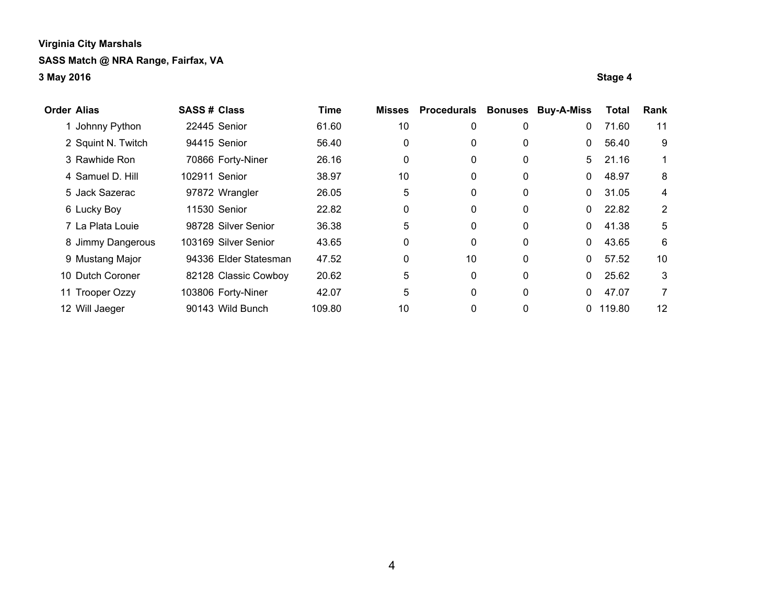| <b>Order Alias</b> | <b>SASS# Class</b> |                       | <b>Time</b> | <b>Misses</b> | <b>Procedurals</b> | <b>Bonuses</b> | <b>Buy-A-Miss</b> | <b>Total</b> | Rank           |
|--------------------|--------------------|-----------------------|-------------|---------------|--------------------|----------------|-------------------|--------------|----------------|
| Johnny Python      |                    | 22445 Senior          | 61.60       | 10            | 0                  | 0              | 0                 | 71.60        | 11             |
| 2 Squint N. Twitch |                    | 94415 Senior          | 56.40       | 0             | 0                  | 0              | $\mathbf{0}$      | 56.40        | 9              |
| 3 Rawhide Ron      |                    | 70866 Forty-Niner     | 26.16       | 0             | 0                  | 0              | 5                 | 21.16        | 1.             |
| 4 Samuel D. Hill   | 102911 Senior      |                       | 38.97       | 10            | 0                  | 0              | 0                 | 48.97        | 8              |
| 5 Jack Sazerac     |                    | 97872 Wrangler        | 26.05       | 5             | 0                  | 0              | $\Omega$          | 31.05        | 4              |
| 6 Lucky Boy        |                    | 11530 Senior          | 22.82       | 0             | 0                  | 0              | 0                 | 22.82        | $\overline{2}$ |
| 7 La Plata Louie   |                    | 98728 Silver Senior   | 36.38       | 5             | 0                  | 0              | 0                 | 41.38        | 5              |
| 8 Jimmy Dangerous  |                    | 103169 Silver Senior  | 43.65       | 0             | 0                  | 0              | 0                 | 43.65        | 6              |
| 9 Mustang Major    |                    | 94336 Elder Statesman | 47.52       | 0             | 10                 | 0              | 0                 | 57.52        | 10             |
| 10 Dutch Coroner   |                    | 82128 Classic Cowboy  | 20.62       | 5             | 0                  | 0              | 0                 | 25.62        | 3              |
| 11 Trooper Ozzy    |                    | 103806 Forty-Niner    | 42.07       | 5             | 0                  | 0              | 0                 | 47.07        | $\overline{7}$ |
| 12 Will Jaeger     |                    | 90143 Wild Bunch      | 109.80      | 10            | 0                  | 0              | $\Omega$          | 119.80       | 12             |